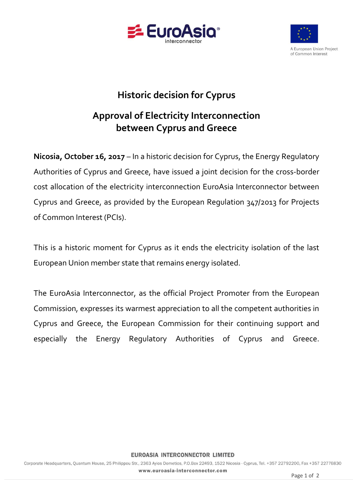



### **Historic decision for Cyprus**

# **Approval of Electricity Interconnection between Cyprus and Greece**

**Nicosia, October 16, 2017** – In a historic decision for Cyprus, the Energy Regulatory Authorities of Cyprus and Greece, have issued a joint decision for the cross-border cost allocation of the electricity interconnection EuroAsia Interconnector between Cyprus and Greece, as provided by the European Regulation 347/2013 for Projects of Common Interest (PCIs).

This is a historic moment for Cyprus as it ends the electricity isolation of the last European Union member state that remains energy isolated.

The EuroAsia Interconnector, as the official Project Promoter from the European Commission, expresses its warmest appreciation to all the competent authorities in Cyprus and Greece, the European Commission for their continuing support and especially the Energy Regulatory Authorities of Cyprus and Greece.

#### **EUROASIA INTERCONNECTOR LIMITED**

Corporate Headquarters, Quantum House, 25 Philippou Str., 2363 Ayios Dometios, P.O.Box 22493, 1522 Nicosia - Cyprus, Tel. +357 22792200, Fax +357 22776830 www.euroasia-interconnector.com